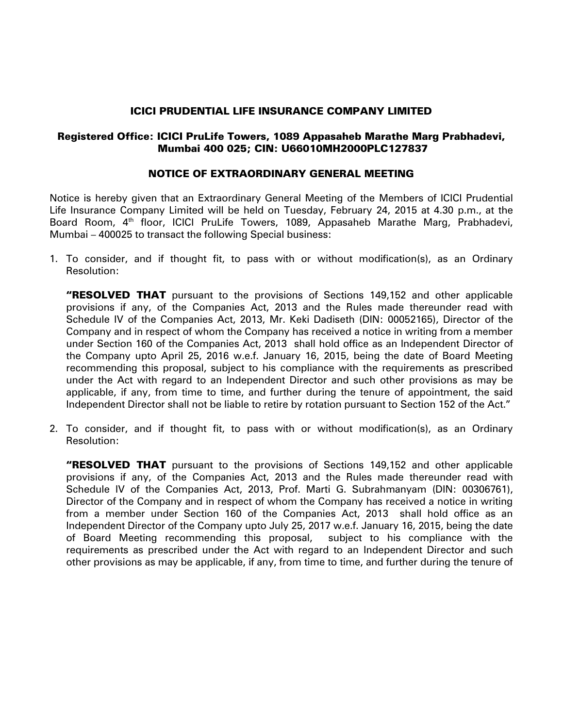### ICICI PRUDENTIAL LIFE INSURANCE COMPANY LIMITED

## Registered Office: ICICI PruLife Towers, 1089 Appasaheb Marathe Marg Prabhadevi, Mumbai 400 025; CIN: U66010MH2000PLC127837

### NOTICE OF EXTRAORDINARY GENERAL MEETING

Notice is hereby given that an Extraordinary General Meeting of the Members of ICICI Prudential Life Insurance Company Limited will be held on Tuesday, February 24, 2015 at 4.30 p.m., at the Board Room, 4<sup>th</sup> floor, ICICI PruLife Towers, 1089, Appasaheb Marathe Marg, Prabhadevi, Mumbai – 400025 to transact the following Special business:

1. To consider, and if thought fit, to pass with or without modification(s), as an Ordinary Resolution:

**"RESOLVED THAT** pursuant to the provisions of Sections 149,152 and other applicable provisions if any, of the Companies Act, 2013 and the Rules made thereunder read with Schedule IV of the Companies Act, 2013, Mr. Keki Dadiseth (DIN: 00052165), Director of the Company and in respect of whom the Company has received a notice in writing from a member under Section 160 of the Companies Act, 2013 shall hold office as an Independent Director of the Company upto April 25, 2016 w.e.f. January 16, 2015, being the date of Board Meeting recommending this proposal, subject to his compliance with the requirements as prescribed under the Act with regard to an Independent Director and such other provisions as may be applicable, if any, from time to time, and further during the tenure of appointment, the said Independent Director shall not be liable to retire by rotation pursuant to Section 152 of the Act."

2. To consider, and if thought fit, to pass with or without modification(s), as an Ordinary Resolution:

**"RESOLVED THAT** pursuant to the provisions of Sections 149,152 and other applicable provisions if any, of the Companies Act, 2013 and the Rules made thereunder read with Schedule IV of the Companies Act, 2013, Prof. Marti G. Subrahmanyam (DIN: 00306761), Director of the Company and in respect of whom the Company has received a notice in writing from a member under Section 160 of the Companies Act, 2013 shall hold office as an Independent Director of the Company upto July 25, 2017 w.e.f. January 16, 2015, being the date of Board Meeting recommending this proposal, subject to his compliance with the requirements as prescribed under the Act with regard to an Independent Director and such other provisions as may be applicable, if any, from time to time, and further during the tenure of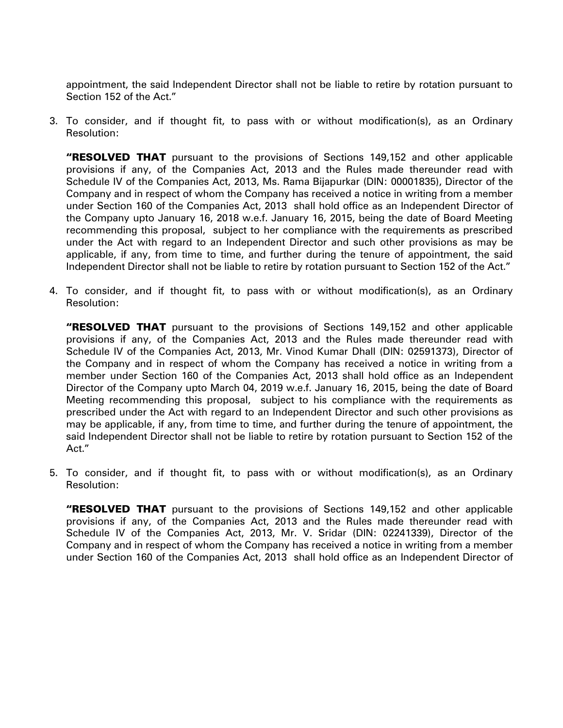appointment, the said Independent Director shall not be liable to retire by rotation pursuant to Section 152 of the Act."

3. To consider, and if thought fit, to pass with or without modification(s), as an Ordinary Resolution:

**"RESOLVED THAT** pursuant to the provisions of Sections 149,152 and other applicable provisions if any, of the Companies Act, 2013 and the Rules made thereunder read with Schedule IV of the Companies Act, 2013, Ms. Rama Bijapurkar (DIN: 00001835), Director of the Company and in respect of whom the Company has received a notice in writing from a member under Section 160 of the Companies Act, 2013 shall hold office as an Independent Director of the Company upto January 16, 2018 w.e.f. January 16, 2015, being the date of Board Meeting recommending this proposal, subject to her compliance with the requirements as prescribed under the Act with regard to an Independent Director and such other provisions as may be applicable, if any, from time to time, and further during the tenure of appointment, the said Independent Director shall not be liable to retire by rotation pursuant to Section 152 of the Act."

4. To consider, and if thought fit, to pass with or without modification(s), as an Ordinary Resolution:

**"RESOLVED THAT** pursuant to the provisions of Sections 149,152 and other applicable provisions if any, of the Companies Act, 2013 and the Rules made thereunder read with Schedule IV of the Companies Act, 2013, Mr. Vinod Kumar Dhall (DIN: 02591373), Director of the Company and in respect of whom the Company has received a notice in writing from a member under Section 160 of the Companies Act, 2013 shall hold office as an Independent Director of the Company upto March 04, 2019 w.e.f. January 16, 2015, being the date of Board Meeting recommending this proposal, subject to his compliance with the requirements as prescribed under the Act with regard to an Independent Director and such other provisions as may be applicable, if any, from time to time, and further during the tenure of appointment, the said Independent Director shall not be liable to retire by rotation pursuant to Section 152 of the Act."

5. To consider, and if thought fit, to pass with or without modification(s), as an Ordinary Resolution:

**"RESOLVED THAT** pursuant to the provisions of Sections 149,152 and other applicable provisions if any, of the Companies Act, 2013 and the Rules made thereunder read with Schedule IV of the Companies Act, 2013, Mr. V. Sridar (DIN: 02241339), Director of the Company and in respect of whom the Company has received a notice in writing from a member under Section 160 of the Companies Act, 2013 shall hold office as an Independent Director of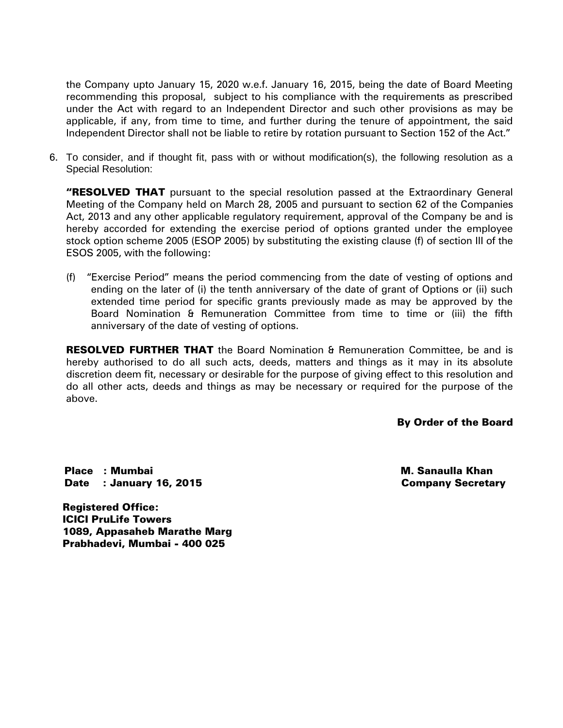the Company upto January 15, 2020 w.e.f. January 16, 2015, being the date of Board Meeting recommending this proposal, subject to his compliance with the requirements as prescribed under the Act with regard to an Independent Director and such other provisions as may be applicable, if any, from time to time, and further during the tenure of appointment, the said Independent Director shall not be liable to retire by rotation pursuant to Section 152 of the Act."

6. To consider, and if thought fit, pass with or without modification(s), the following resolution as a Special Resolution:

"RESOLVED THAT pursuant to the special resolution passed at the Extraordinary General Meeting of the Company held on March 28, 2005 and pursuant to section 62 of the Companies Act, 2013 and any other applicable regulatory requirement, approval of the Company be and is hereby accorded for extending the exercise period of options granted under the employee stock option scheme 2005 (ESOP 2005) by substituting the existing clause (f) of section III of the ESOS 2005, with the following:

(f) "Exercise Period" means the period commencing from the date of vesting of options and ending on the later of (i) the tenth anniversary of the date of grant of Options or (ii) such extended time period for specific grants previously made as may be approved by the Board Nomination & Remuneration Committee from time to time or (iii) the fifth anniversary of the date of vesting of options.

**RESOLVED FURTHER THAT** the Board Nomination & Remuneration Committee, be and is hereby authorised to do all such acts, deeds, matters and things as it may in its absolute discretion deem fit, necessary or desirable for the purpose of giving effect to this resolution and do all other acts, deeds and things as may be necessary or required for the purpose of the above.

By Order of the Board

Place : Mumbai Date : January 16, 2015  M. Sanaulla Khan Company Secretary

Registered Office: ICICI PruLife Towers 1089, Appasaheb Marathe Marg Prabhadevi, Mumbai - 400 025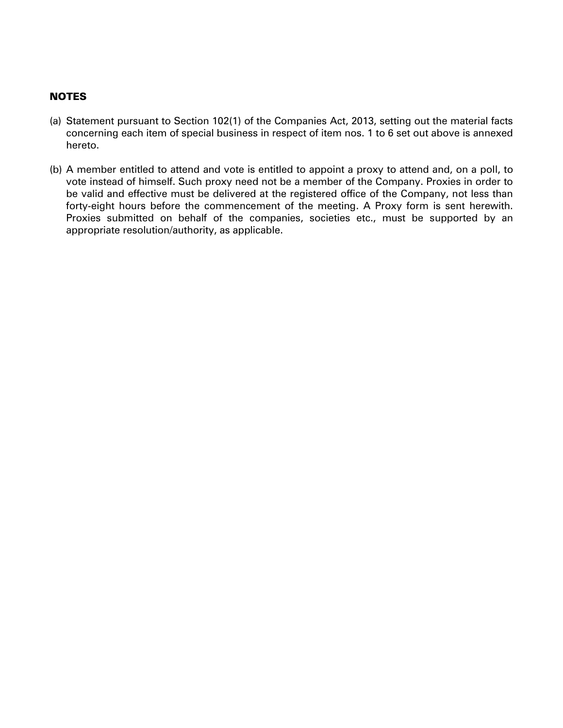## **NOTES**

- (a) Statement pursuant to Section 102(1) of the Companies Act, 2013, setting out the material facts concerning each item of special business in respect of item nos. 1 to 6 set out above is annexed hereto.
- (b) A member entitled to attend and vote is entitled to appoint a proxy to attend and, on a poll, to vote instead of himself. Such proxy need not be a member of the Company. Proxies in order to be valid and effective must be delivered at the registered office of the Company, not less than forty-eight hours before the commencement of the meeting. A Proxy form is sent herewith. Proxies submitted on behalf of the companies, societies etc., must be supported by an appropriate resolution/authority, as applicable.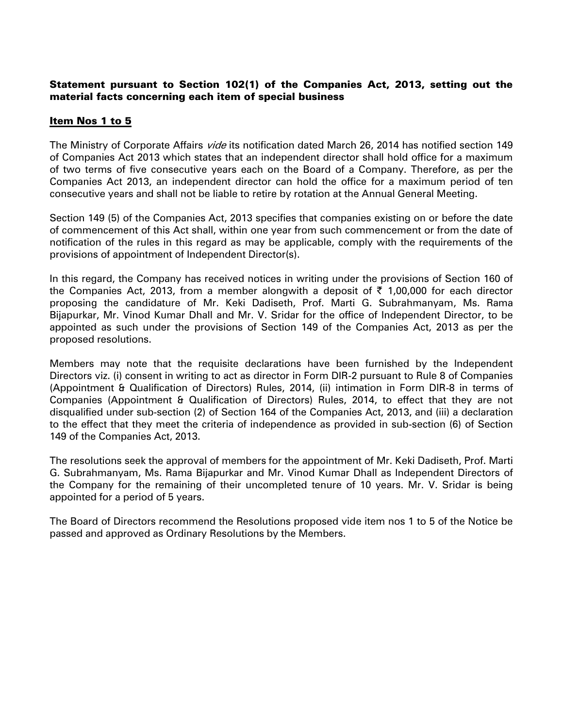### Statement pursuant to Section 102(1) of the Companies Act, 2013, setting out the material facts concerning each item of special business

## Item Nos 1 to 5

The Ministry of Corporate Affairs *vide* its notification dated March 26, 2014 has notified section 149 of Companies Act 2013 which states that an independent director shall hold office for a maximum of two terms of five consecutive years each on the Board of a Company. Therefore, as per the Companies Act 2013, an independent director can hold the office for a maximum period of ten consecutive years and shall not be liable to retire by rotation at the Annual General Meeting.

Section 149 (5) of the Companies Act, 2013 specifies that companies existing on or before the date of commencement of this Act shall, within one year from such commencement or from the date of notification of the rules in this regard as may be applicable, comply with the requirements of the provisions of appointment of Independent Director(s).

In this regard, the Company has received notices in writing under the provisions of Section 160 of the Companies Act, 2013, from a member alongwith a deposit of  $\bar{\tau}$  1,00,000 for each director proposing the candidature of Mr. Keki Dadiseth, Prof. Marti G. Subrahmanyam, Ms. Rama Bijapurkar, Mr. Vinod Kumar Dhall and Mr. V. Sridar for the office of Independent Director, to be appointed as such under the provisions of Section 149 of the Companies Act, 2013 as per the proposed resolutions.

Members may note that the requisite declarations have been furnished by the Independent Directors viz. (i) consent in writing to act as director in Form DIR-2 pursuant to Rule 8 of Companies (Appointment & Qualification of Directors) Rules, 2014, (ii) intimation in Form DIR-8 in terms of Companies (Appointment & Qualification of Directors) Rules, 2014, to effect that they are not disqualified under sub-section (2) of Section 164 of the Companies Act, 2013, and (iii) a declaration to the effect that they meet the criteria of independence as provided in sub-section (6) of Section 149 of the Companies Act, 2013.

The resolutions seek the approval of members for the appointment of Mr. Keki Dadiseth, Prof. Marti G. Subrahmanyam, Ms. Rama Bijapurkar and Mr. Vinod Kumar Dhall as Independent Directors of the Company for the remaining of their uncompleted tenure of 10 years. Mr. V. Sridar is being appointed for a period of 5 years.

The Board of Directors recommend the Resolutions proposed vide item nos 1 to 5 of the Notice be passed and approved as Ordinary Resolutions by the Members.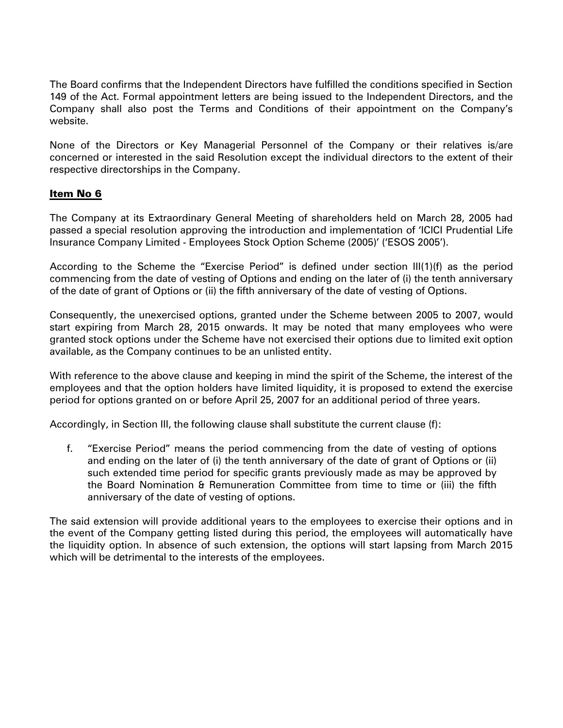The Board confirms that the Independent Directors have fulfilled the conditions specified in Section 149 of the Act. Formal appointment letters are being issued to the Independent Directors, and the Company shall also post the Terms and Conditions of their appointment on the Company's website.

None of the Directors or Key Managerial Personnel of the Company or their relatives is/are concerned or interested in the said Resolution except the individual directors to the extent of their respective directorships in the Company.

## Item No 6

The Company at its Extraordinary General Meeting of shareholders held on March 28, 2005 had passed a special resolution approving the introduction and implementation of 'ICICI Prudential Life Insurance Company Limited - Employees Stock Option Scheme (2005)' ('ESOS 2005').

According to the Scheme the "Exercise Period" is defined under section III(1)(f) as the period commencing from the date of vesting of Options and ending on the later of (i) the tenth anniversary of the date of grant of Options or (ii) the fifth anniversary of the date of vesting of Options.

Consequently, the unexercised options, granted under the Scheme between 2005 to 2007, would start expiring from March 28, 2015 onwards. It may be noted that many employees who were granted stock options under the Scheme have not exercised their options due to limited exit option available, as the Company continues to be an unlisted entity.

With reference to the above clause and keeping in mind the spirit of the Scheme, the interest of the employees and that the option holders have limited liquidity, it is proposed to extend the exercise period for options granted on or before April 25, 2007 for an additional period of three years.

Accordingly, in Section III, the following clause shall substitute the current clause (f):

f. "Exercise Period" means the period commencing from the date of vesting of options and ending on the later of (i) the tenth anniversary of the date of grant of Options or (ii) such extended time period for specific grants previously made as may be approved by the Board Nomination & Remuneration Committee from time to time or (iii) the fifth anniversary of the date of vesting of options.

The said extension will provide additional years to the employees to exercise their options and in the event of the Company getting listed during this period, the employees will automatically have the liquidity option. In absence of such extension, the options will start lapsing from March 2015 which will be detrimental to the interests of the employees.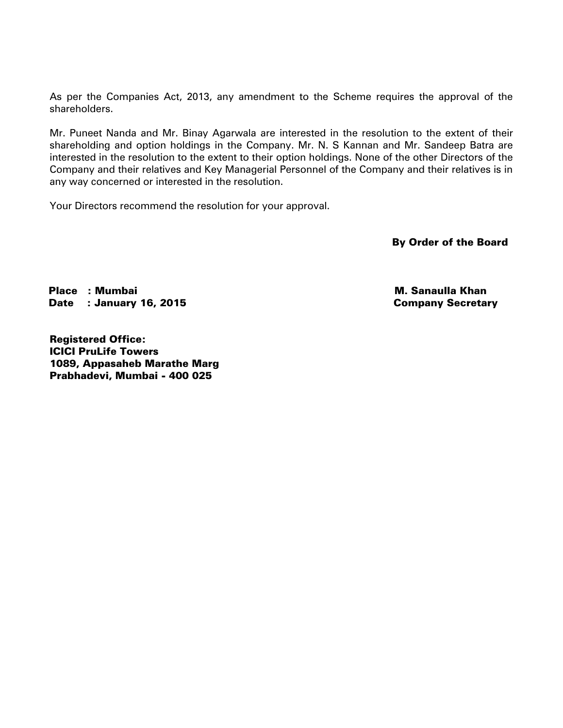As per the Companies Act, 2013, any amendment to the Scheme requires the approval of the shareholders.

Mr. Puneet Nanda and Mr. Binay Agarwala are interested in the resolution to the extent of their shareholding and option holdings in the Company. Mr. N. S Kannan and Mr. Sandeep Batra are interested in the resolution to the extent to their option holdings. None of the other Directors of the Company and their relatives and Key Managerial Personnel of the Company and their relatives is in any way concerned or interested in the resolution.

Your Directors recommend the resolution for your approval.

By Order of the Board

Place : Mumbai Date : January 16, 2015

 M. Sanaulla Khan Company Secretary

Registered Office: ICICI PruLife Towers 1089, Appasaheb Marathe Marg Prabhadevi, Mumbai - 400 025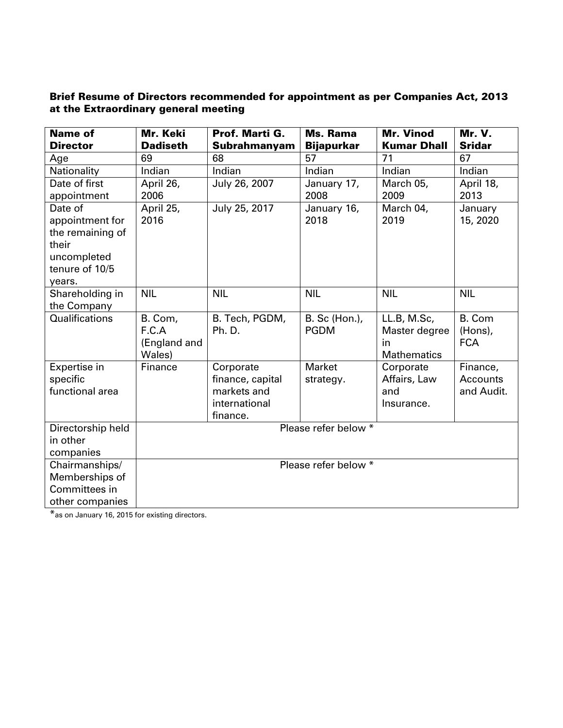# Brief Resume of Directors recommended for appointment as per Companies Act, 2013 at the Extraordinary general meeting

| <b>Name of</b><br><b>Director</b>                                                                  | Mr. Keki<br><b>Dadiseth</b>                | Prof. Marti G.<br>Subrahmanyam                                            | <b>Ms. Rama</b><br><b>Bijapurkar</b> | <b>Mr. Vinod</b><br><b>Kumar Dhall</b>                   | <b>Mr. V.</b><br><b>Sridar</b>            |
|----------------------------------------------------------------------------------------------------|--------------------------------------------|---------------------------------------------------------------------------|--------------------------------------|----------------------------------------------------------|-------------------------------------------|
| Age                                                                                                | 69                                         | 68                                                                        | 57                                   | 71                                                       | 67                                        |
| Nationality                                                                                        | Indian                                     | Indian                                                                    | Indian                               | Indian                                                   | Indian                                    |
| Date of first<br>appointment                                                                       | April 26,<br>2006                          | July 26, 2007                                                             | January 17,<br>2008                  | March 05,<br>2009                                        | April 18,<br>2013                         |
| Date of<br>appointment for<br>the remaining of<br>their<br>uncompleted<br>tenure of 10/5<br>years. | April 25,<br>2016                          | July 25, 2017                                                             | January 16,<br>2018                  | March 04,<br>2019                                        | January<br>15, 2020                       |
| Shareholding in<br>the Company                                                                     | <b>NIL</b>                                 | <b>NIL</b>                                                                | <b>NIL</b>                           | <b>NIL</b>                                               | <b>NIL</b>                                |
| Qualifications                                                                                     | B. Com,<br>F.C.A<br>(England and<br>Wales) | B. Tech, PGDM,<br>Ph. D.                                                  | B. Sc (Hon.),<br><b>PGDM</b>         | LL.B, M.Sc,<br>Master degree<br>in<br><b>Mathematics</b> | B. Com<br>(Hons),<br><b>FCA</b>           |
| Expertise in<br>specific<br>functional area                                                        | Finance                                    | Corporate<br>finance, capital<br>markets and<br>international<br>finance. | Market<br>strategy.                  | Corporate<br>Affairs, Law<br>and<br>Insurance.           | Finance,<br><b>Accounts</b><br>and Audit. |
| Directorship held<br>in other<br>companies                                                         |                                            |                                                                           | Please refer below *                 |                                                          |                                           |
| Chairmanships/<br>Memberships of<br>Committees in<br>other companies                               |                                            |                                                                           | Please refer below *                 |                                                          |                                           |

\*as on January 16, 2015 for existing directors.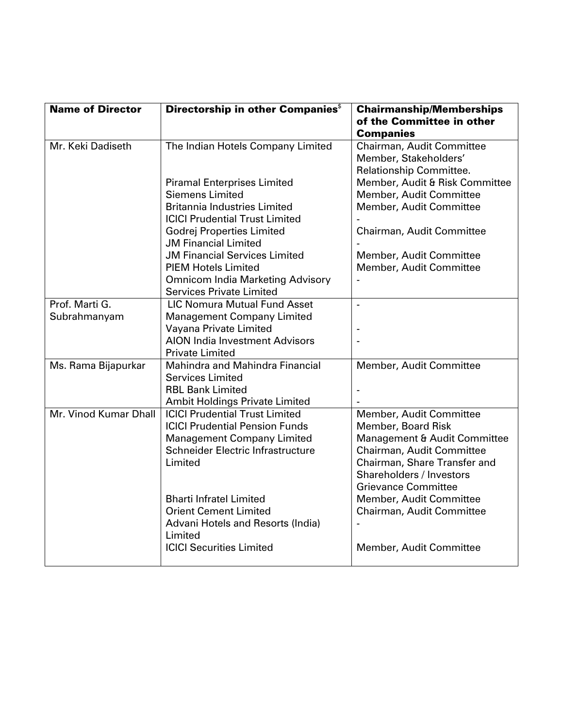| <b>Name of Director</b> | Directorship in other Companies <sup>\$</sup>                          | <b>Chairmanship/Memberships</b><br>of the Committee in other<br><b>Companies</b> |
|-------------------------|------------------------------------------------------------------------|----------------------------------------------------------------------------------|
| Mr. Keki Dadiseth       | The Indian Hotels Company Limited                                      | Chairman, Audit Committee<br>Member, Stakeholders'<br>Relationship Committee.    |
|                         | <b>Piramal Enterprises Limited</b><br><b>Siemens Limited</b>           | Member, Audit & Risk Committee                                                   |
|                         | <b>Britannia Industries Limited</b>                                    | Member, Audit Committee<br>Member, Audit Committee                               |
|                         | <b>ICICI Prudential Trust Limited</b>                                  |                                                                                  |
|                         | <b>Godrej Properties Limited</b><br><b>JM Financial Limited</b>        | Chairman, Audit Committee                                                        |
|                         | <b>JM Financial Services Limited</b>                                   | Member, Audit Committee                                                          |
|                         | <b>PIEM Hotels Limited</b><br><b>Omnicom India Marketing Advisory</b>  | Member, Audit Committee                                                          |
|                         | <b>Services Private Limited</b>                                        |                                                                                  |
| Prof. Marti G.          | <b>LIC Nomura Mutual Fund Asset</b>                                    | $\overline{a}$                                                                   |
| Subrahmanyam            | <b>Management Company Limited</b><br>Vayana Private Limited            |                                                                                  |
|                         | <b>AION India Investment Advisors</b>                                  |                                                                                  |
|                         | <b>Private Limited</b>                                                 |                                                                                  |
| Ms. Rama Bijapurkar     | Mahindra and Mahindra Financial<br><b>Services Limited</b>             | Member, Audit Committee                                                          |
|                         | <b>RBL Bank Limited</b>                                                |                                                                                  |
|                         | Ambit Holdings Private Limited                                         |                                                                                  |
| Mr. Vinod Kumar Dhall   | <b>ICICI Prudential Trust Limited</b>                                  | Member, Audit Committee                                                          |
|                         | <b>ICICI Prudential Pension Funds</b>                                  | Member, Board Risk                                                               |
|                         | <b>Management Company Limited</b><br>Schneider Electric Infrastructure | Management & Audit Committee<br>Chairman, Audit Committee                        |
|                         | Limited                                                                | Chairman, Share Transfer and                                                     |
|                         |                                                                        | Shareholders / Investors                                                         |
|                         |                                                                        | <b>Grievance Committee</b>                                                       |
|                         | <b>Bharti Infratel Limited</b>                                         | Member, Audit Committee                                                          |
|                         | <b>Orient Cement Limited</b>                                           | Chairman, Audit Committee                                                        |
|                         | Advani Hotels and Resorts (India)<br>Limited                           |                                                                                  |
|                         | <b>ICICI Securities Limited</b>                                        | Member, Audit Committee                                                          |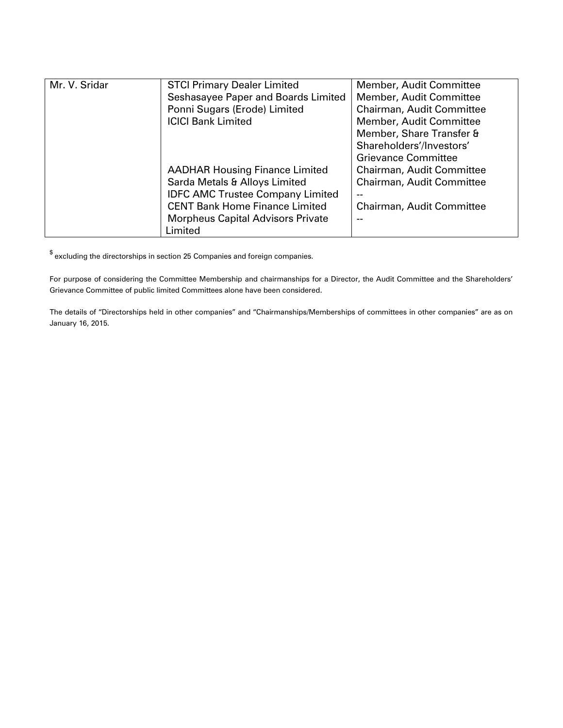| Mr. V. Sridar | <b>STCI Primary Dealer Limited</b>       | Member, Audit Committee    |
|---------------|------------------------------------------|----------------------------|
|               | Seshasayee Paper and Boards Limited      | Member, Audit Committee    |
|               | Ponni Sugars (Erode) Limited             | Chairman, Audit Committee  |
|               | <b>ICICI Bank Limited</b>                | Member, Audit Committee    |
|               |                                          | Member, Share Transfer &   |
|               |                                          | Shareholders'/Investors'   |
|               |                                          | <b>Grievance Committee</b> |
|               | <b>AADHAR Housing Finance Limited</b>    | Chairman, Audit Committee  |
|               | Sarda Metals & Alloys Limited            | Chairman, Audit Committee  |
|               | <b>IDFC AMC Trustee Company Limited</b>  |                            |
|               | <b>CENT Bank Home Finance Limited</b>    | Chairman, Audit Committee  |
|               | <b>Morpheus Capital Advisors Private</b> |                            |
|               | Limited                                  |                            |

 $\!\!$  excluding the directorships in section 25 Companies and foreign companies.

For purpose of considering the Committee Membership and chairmanships for a Director, the Audit Committee and the Shareholders' Grievance Committee of public limited Committees alone have been considered.

The details of "Directorships held in other companies" and "Chairmanships/Memberships of committees in other companies" are as on January 16, 2015.